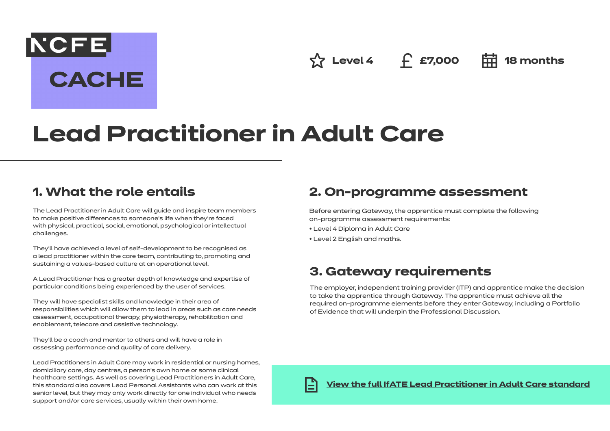$\hat{X}$  Level 4 **f** £7,000 **= = 18** months

# **Lead Practitioner in Adult Care**

## **1. What the role entails**

**NCFE** 

**CACHE** 

The Lead Practitioner in Adult Care will guide and inspire team members to make positive differences to someone's life when they're faced with physical, practical, social, emotional, psychological or intellectual challenges.

They'll have achieved a level of self-development to be recognised as a lead practitioner within the care team, contributing to, promoting and sustaining a values-based culture at an operational level.

A Lead Practitioner has a greater depth of knowledge and expertise of particular conditions being experienced by the user of services.

They will have specialist skills and knowledge in their area of responsibilities which will allow them to lead in areas such as care needs assessment, occupational therapy, physiotherapy, rehabilitation and enablement, telecare and assistive technology.

They'll be a coach and mentor to others and will have a role in assessing performance and quality of care delivery.

Lead Practitioners in Adult Care may work in residential or nursing homes, domiciliary care, day centres, a person's own home or some clinical healthcare settings. As well as covering Lead Practitioners in Adult Care, this standard also covers Lead Personal Assistants who can work at this senior level, but they may only work directly for one individual who needs support and/or care services, usually within their own home.

# **2. On-programme assessment**

Before entering Gateway, the apprentice must complete the following on-programme assessment requirements:

- Level 4 Diploma in Adult Care
- Level 2 English and maths.

# **3. Gateway requirements**

The employer, independent training provider (ITP) and apprentice make the decision to take the apprentice through Gateway. The apprentice must achieve all the required on-programme elements before they enter Gateway, including a Portfolio of Evidence that will underpin the Professional Discussion.